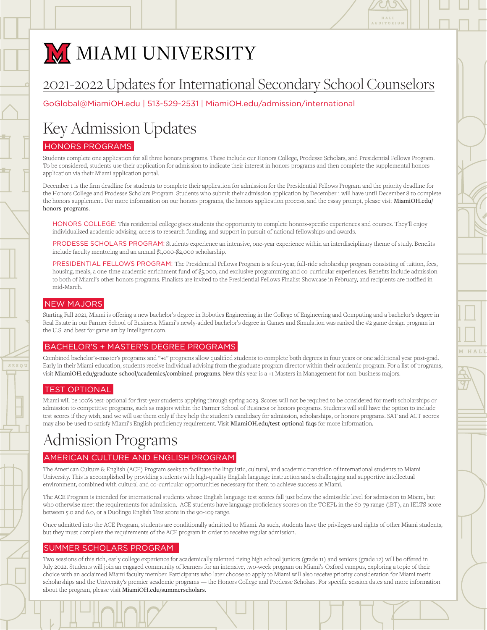

# M MIAMI UNIVERSITY

## 2021-2022 Updates for International Secondary School Counselors 2021-2022 Updates for International Secondary School Counselors

GoGlobal@MiamiOH.edu | 513-529-2531 [| MiamiOH.edu/admission/international](https://www.miamioh.edu/admission-aid/international-students/index.html) GoGlobal@MiamiOH.edu 513-529-2531 MiamiOH.edu/admission/international

# Key Admission Updates Key Admission Updates

### HONORS PROGRAMS HONORS PROGRAMS

Students complete one application for all three honors programs. These include our Honors College, Prodesse Scholars, and Presidential Fellows Program. To be considered, students use their application for admission to indicate their interest in honors programs and then complete the supplemental honors application via their Miami application portal.

December 1 is the firm deadline for students to complete their application for admission for the Presidential Fellows Program and the priority deadline for the Honors College and Prodesse Scholars Program. Students who submit their admission application by December 1 will have until December 8 to complete the honors supplement. For more information on our honors programs, the honors application process, and the essay prompt, please visit [MiamiOH.edu/](https://miamioh.edu/academics/honors-programs/honors-college/) honors-programs. Program. Students who submit their admission application by December 1 will have until the honors supplement. For more information on our honors programs, the

HONORS COLLEGE: This residential college gives students the opportunity to complete honors-specific experiences and courses. They'll enjoy individualized academic advising, access to research funding, and support in pursuit of national fellowships and awards. access to research funding, and support in pursuit of national fellowships and awards.

PRODESSE SCHOLARS PROGRAM: Students experience an intensive, one-year experience within an interdisciplinary theme of study. Benefits include faculty mentoring and an annual \$1,000-\$2,000 scholarship.  $\frac{1}{1}$ 

PRESIDENTIAL FELLOWS PROGRAM: The Presidential Fellows Program is a four-year, full-ride scholarship program consisting of tuition, fees, housing, meals, a one-time academic enrichment fund of \$5,000, and exclusive programming and co-curricular experiences. Benefits include admission to both of Miami's other honors programs. Finalists are invited to the Presidential Fellows Finalist Showcase in February, and recipients are notified in mid-March. rafina of p<sub>1</sub>,000, and exercise programming and co-carrier

### NEW MAJORS NEW MAJORS

Starting Fall 2021, Miami is offering a new bachelor's degree in Robotics Engineering in the College of Engineering and Computing and a bachelor's degree in Real Estate in our Farmer School of Business. Miami's newly-added bachelor's degree in Games and Simulation was ranked the #2 game design program in the U.S. and best for game art by [Intelligent.com.](https://www.intelligent.com/) Intelligent.com

#### BACHELOR'S + MASTER'S DEGREE PROGRAMS BACHELOR'S + MASTER'S DEGREE PROGRAMS

Combined bachelor's-master's programs and "+1" programs allow qualified students to complete both degrees in four years or one additional year post-grad. Early in their Miami education, students receive individual advising from the graduate program director within their academic program. For a list of programs, visit [MiamiOH.edu/graduate-school/academics/combined-programs](https://miamioh.edu/graduate-school/academics/combined-programs/). New this year is a +1 Masters in Management for non-business majors.

### TEST OPTIONAL TEST OPTIONAL

Miami will be 100% test-optional for first-year students applying through spring 2023. Scores will not be required to be considered for merit scholarships or admission to competitive programs, such as majors within the Farmer School of Business or honors programs. Students will still have the option to include test scores if they wish, and we will use them only if they help the student's candidacy for admission, scholarships, or honors programs. SAT and ACT scores may also be used to satisfy Miami's English proficiency requirement. Visit **[MiamiOH.edu/test-optional-faqs](https://miamioh.edu/admission/high-school/application/test-optional-faqs/)** for more information**.** -Miami will be 100% test-optional for first-year students applying through spring 2023. Scores will not be required to be considered for merit scholarships of the wish, and with the students only if they help they help the

## Admission Programs

### AMERICAN CULTURE AND ENGLISH PROGRAM

The American Culture & English (ACE) Program seeks to facilitate the linguistic, cultural, and academic transition of international students to Miami University. This is accomplished by providing students with high-quality English language instruction and a challenging and supportive intellectual environment, combined with cultural and co-curricular opportunities necessary for them to achieve success at Miami.

The ACE Program is intended for international students whose English language test scores fall just below the admissible level for admission to Miami, but who otherwise meet the requirements for admission. ACE students have language proficiency scores on the TOEFL in the 60-79 range (iBT), an IELTS score between 5.0 and 6.0, or a Duolingo English Test score in the 90-109 range.

Once admitted into the ACE Program, students are conditionally admitted to Miami. As such, students have the privileges and rights of other Miami students, but they must complete the requirements of the ACE program in order to receive regular admission.

### SUMMER SCHOLARS PROGRAM SUMMER SCHOLARS PROGRAM

Two sessions of this rich, early college experience for academically talented rising high school juniors (grade 11) and seniors (grade 12) will be offered in July 2022. Students will join an engaged community of learners for an intensive, two-week program on Miami's Oxford campus, exploring a topic of their choice with an acclaimed Miami faculty member. Participants who later choose to apply to Miami will also receive priority consideration for Miami merit scholarships and the University's premier academic programs — the Honors College and Prodesse Scholars. For specific session dates and more information about the program, please visit [MiamiOH.edu/summerscholars](https://miamioh.edu/admission/high-school/summer-scholars/).